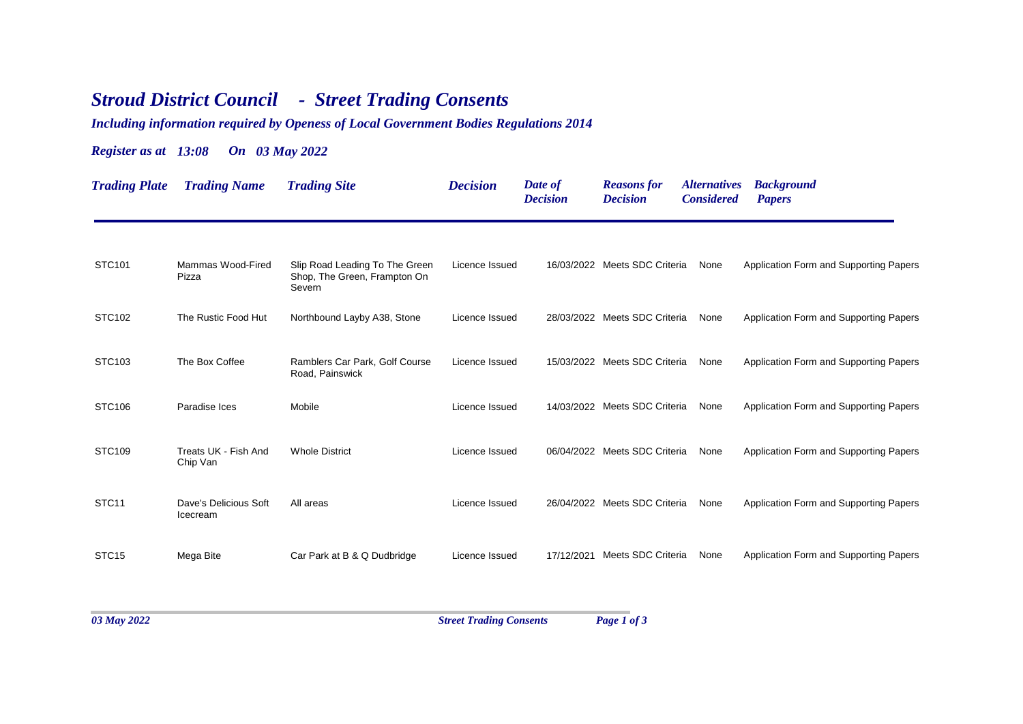## *Stroud District Council - Street Trading Consents*

*Including information required by Openess of Local Government Bodies Regulations 2014*

## *Register as at 13:08 On 03 May 2022*

| <b>Trading Plate</b> | <b>Trading Name</b>               | <b>Trading Site</b>                                                      | <b>Decision</b> | Date of<br><b>Decision</b> | <b>Reasons</b> for<br><b>Decision</b> | <i><b>Alternatives</b></i><br><b>Considered</b> | <b>Background</b><br><b>Papers</b>     |
|----------------------|-----------------------------------|--------------------------------------------------------------------------|-----------------|----------------------------|---------------------------------------|-------------------------------------------------|----------------------------------------|
| STC101               | Mammas Wood-Fired<br>Pizza        | Slip Road Leading To The Green<br>Shop, The Green, Frampton On<br>Severn | Licence Issued  |                            | 16/03/2022 Meets SDC Criteria         | None                                            | Application Form and Supporting Papers |
| STC102               | The Rustic Food Hut               | Northbound Layby A38, Stone                                              | Licence Issued  |                            | 28/03/2022 Meets SDC Criteria         | None                                            | Application Form and Supporting Papers |
| STC103               | The Box Coffee                    | Ramblers Car Park, Golf Course<br>Road, Painswick                        | Licence Issued  |                            | 15/03/2022 Meets SDC Criteria         | None                                            | Application Form and Supporting Papers |
| STC106               | Paradise Ices                     | Mobile                                                                   | Licence Issued  |                            | 14/03/2022 Meets SDC Criteria         | None                                            | Application Form and Supporting Papers |
| STC109               | Treats UK - Fish And<br>Chip Van  | <b>Whole District</b>                                                    | Licence Issued  |                            | 06/04/2022 Meets SDC Criteria         | None                                            | Application Form and Supporting Papers |
| STC <sub>11</sub>    | Dave's Delicious Soft<br>Icecream | All areas                                                                | Licence Issued  |                            | 26/04/2022 Meets SDC Criteria         | None                                            | Application Form and Supporting Papers |
| STC <sub>15</sub>    | Mega Bite                         | Car Park at B & Q Dudbridge                                              | Licence Issued  |                            | 17/12/2021 Meets SDC Criteria         | None                                            | Application Form and Supporting Papers |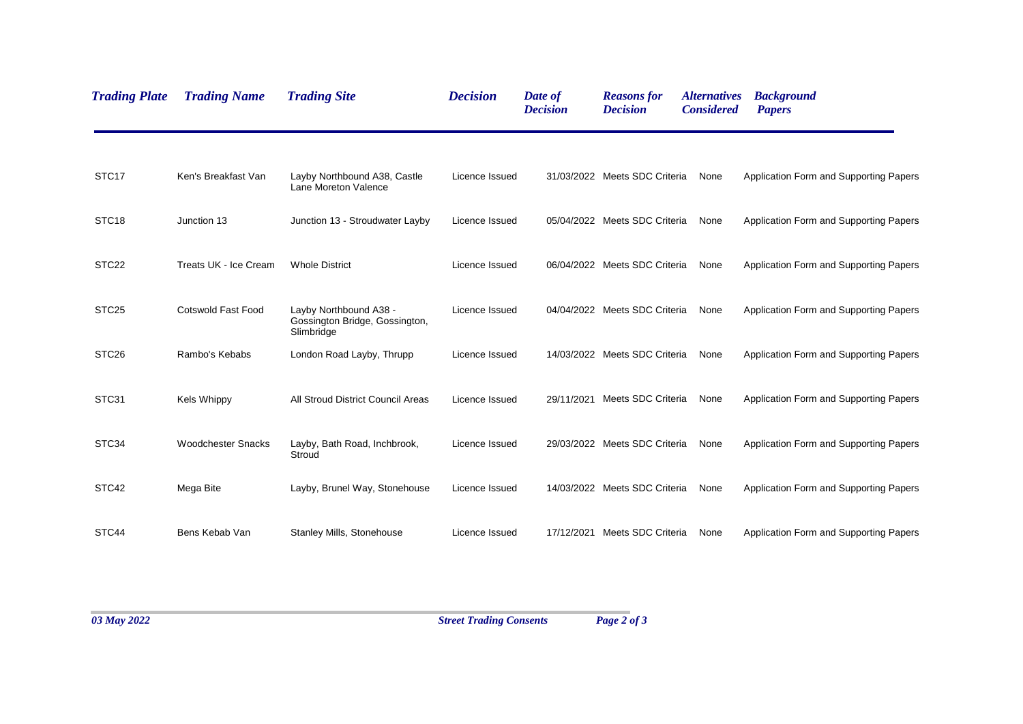| <b>Trading Plate</b> | <b>Trading Name</b>       | <b>Trading Site</b>                                                    | <b>Decision</b> | Date of<br><b>Decision</b> | <b>Reasons for</b><br><b>Decision</b> | <i><b>Alternatives</b></i><br><b>Considered</b> | <b>Background</b><br><b>Papers</b>     |
|----------------------|---------------------------|------------------------------------------------------------------------|-----------------|----------------------------|---------------------------------------|-------------------------------------------------|----------------------------------------|
| STC <sub>17</sub>    | Ken's Breakfast Van       | Layby Northbound A38, Castle<br>Lane Moreton Valence                   | Licence Issued  |                            | 31/03/2022 Meets SDC Criteria         | None                                            | Application Form and Supporting Papers |
| STC <sub>18</sub>    | Junction 13               | Junction 13 - Stroudwater Layby                                        | Licence Issued  |                            | 05/04/2022 Meets SDC Criteria         | None                                            | Application Form and Supporting Papers |
| STC <sub>22</sub>    | Treats UK - Ice Cream     | <b>Whole District</b>                                                  | Licence Issued  |                            | 06/04/2022 Meets SDC Criteria         | None                                            | Application Form and Supporting Papers |
| STC <sub>25</sub>    | Cotswold Fast Food        | Layby Northbound A38 -<br>Gossington Bridge, Gossington,<br>Slimbridge | Licence Issued  |                            | 04/04/2022 Meets SDC Criteria         | None                                            | Application Form and Supporting Papers |
| STC <sub>26</sub>    | Rambo's Kebabs            | London Road Layby, Thrupp                                              | Licence Issued  |                            | 14/03/2022 Meets SDC Criteria         | None                                            | Application Form and Supporting Papers |
| STC31                | <b>Kels Whippy</b>        | All Stroud District Council Areas                                      | Licence Issued  |                            | 29/11/2021 Meets SDC Criteria         | None                                            | Application Form and Supporting Papers |
| STC34                | <b>Woodchester Snacks</b> | Layby, Bath Road, Inchbrook,<br>Stroud                                 | Licence Issued  |                            | 29/03/2022 Meets SDC Criteria         | None                                            | Application Form and Supporting Papers |
| STC42                | Mega Bite                 | Layby, Brunel Way, Stonehouse                                          | Licence Issued  |                            | 14/03/2022 Meets SDC Criteria         | None                                            | Application Form and Supporting Papers |
| STC44                | Bens Kebab Van            | <b>Stanley Mills, Stonehouse</b>                                       | Licence Issued  |                            | 17/12/2021 Meets SDC Criteria         | None                                            | Application Form and Supporting Papers |